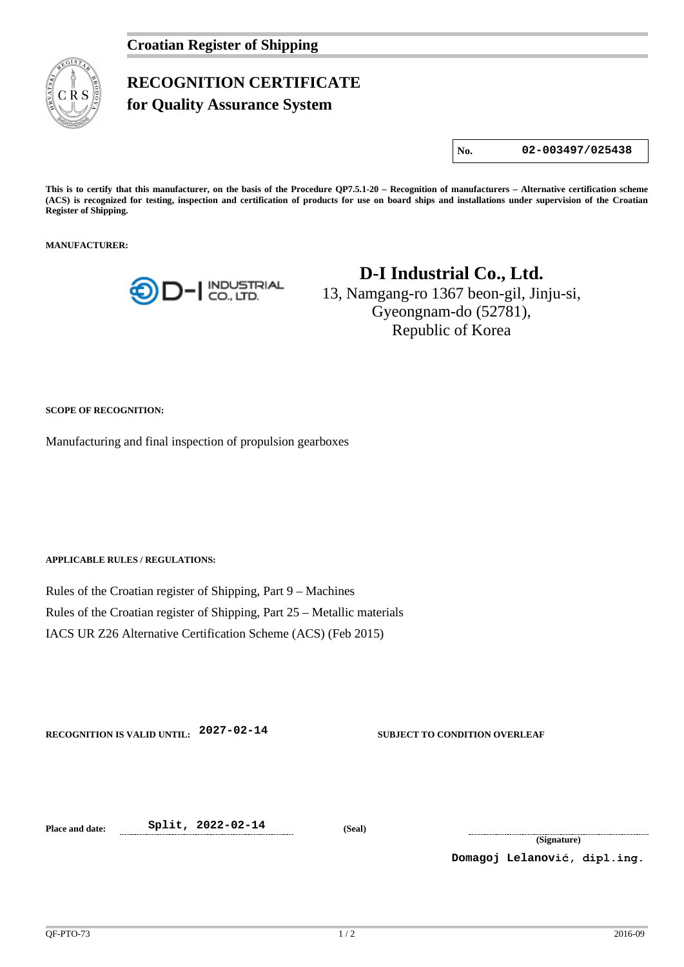

## **RECOGNITION CERTIFICATE**

**for Quality Assurance System** 

**No. 02-003497/025438**

**This is to certify that this manufacturer, on the basis of the Procedure QP7.5.1-20 – Recognition of manufacturers – Alternative certification scheme (ACS) is recognized for testing, inspection and certification of products for use on board ships and installations under supervision of the Croatian Register of Shipping.**

**MANUFACTURER:**



## **D-I Industrial Co., Ltd.**

13, Namgang-ro 1367 beon-gil, Jinju-si, Gyeongnam-do (52781), Republic of Korea

**SCOPE OF RECOGNITION:**

Manufacturing and final inspection of propulsion gearboxes

**APPLICABLE RULES / REGULATIONS:**

Rules of the Croatian register of Shipping, Part 9 – Machines Rules of the Croatian register of Shipping, Part 25 – Metallic materials IACS UR Z26 Alternative Certification Scheme (ACS) (Feb 2015)

**RECOGNITION IS VALID UNTIL: 2027-02-14 SUBJECT TO CONDITION OVERLEAF**

**Place and date: Split, 2022-02-14 (Seal)**

**(Signature)**

**Domagoj Lelanović, dipl.ing.**